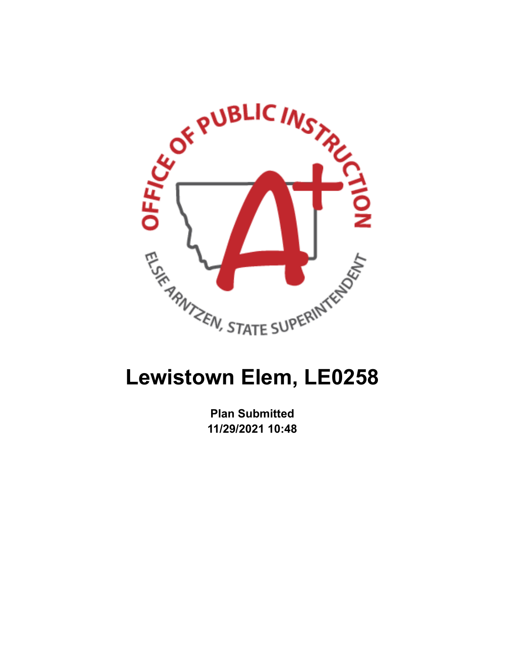

# **Lewistown Elem, LE0258**

**Plan Submitted 11/29/2021 10:48**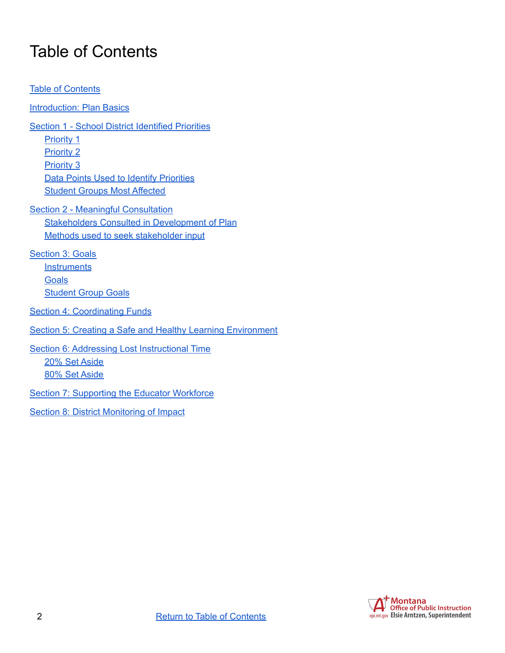### <span id="page-1-0"></span>Table of Contents

Table of [Contents](#page-1-0) **[Introduction:](#page-2-0) Plan Basics** Section 1 - School District [Identified](#page-3-0) Priorities [Priority](#page-3-1) 1 [Priority](#page-3-2) 2 [Priority](#page-3-3) 3 Data Points Used to Identify [Priorities](#page-3-4) Student Groups Most [Affected](#page-3-5) Section 2 - Meaningful [Consultation](#page-5-0) Stakeholders Consulted in [Development](#page-5-1) of Plan Methods used to seek [stakeholder](#page-5-2) input [Section](#page-6-0) 3: Goals **[Instruments](#page-6-1) [Goals](#page-6-2)** [Student](#page-7-0) Group Goals **Section 4: [Coordinating](#page-9-0) Funds** Section 5: Creating a Safe and Healthy Learning [Environment](#page-11-0) Section 6: Addressing Lost [Instructional](#page-14-0) Time 20% Set [Aside](#page-14-1) 80% Set [Aside](#page-17-0) Section 7: [Supporting](#page-22-0) the Educator Workforce **Section 8: District [Monitoring](#page-23-0) of Impact** 

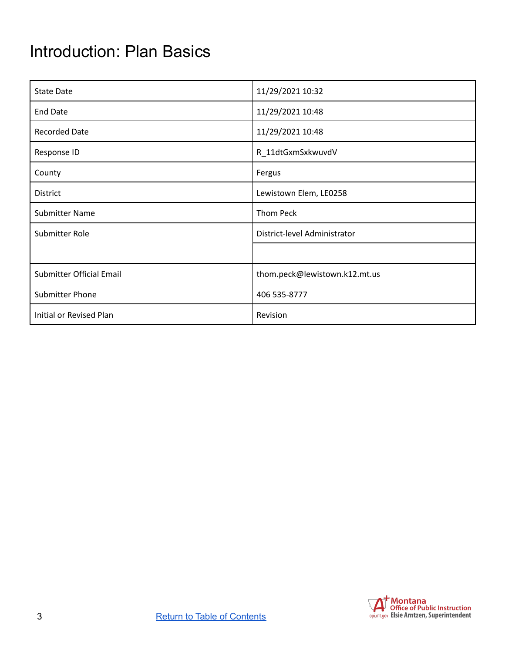### <span id="page-2-0"></span>Introduction: Plan Basics

| <b>State Date</b>        | 11/29/2021 10:32              |  |
|--------------------------|-------------------------------|--|
| <b>End Date</b>          | 11/29/2021 10:48              |  |
| <b>Recorded Date</b>     | 11/29/2021 10:48              |  |
| Response ID              | R_11dtGxmSxkwuvdV             |  |
| County                   | Fergus                        |  |
| District                 | Lewistown Elem, LE0258        |  |
| <b>Submitter Name</b>    | Thom Peck                     |  |
| Submitter Role           | District-level Administrator  |  |
|                          |                               |  |
| Submitter Official Email | thom.peck@lewistown.k12.mt.us |  |
| Submitter Phone          | 406 535-8777                  |  |
| Initial or Revised Plan  | Revision                      |  |

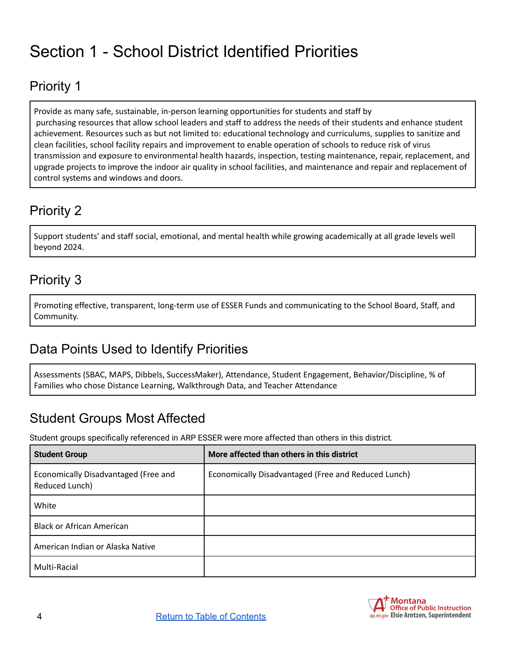## <span id="page-3-0"></span>Section 1 - School District Identified Priorities

### <span id="page-3-1"></span>Priority 1

Provide as many safe, sustainable, in-person learning opportunities for students and staff by purchasing resources that allow school leaders and staff to address the needs of their students and enhance student achievement. Resources such as but not limited to: educational technology and curriculums, supplies to sanitize and clean facilities, school facility repairs and improvement to enable operation of schools to reduce risk of virus transmission and exposure to environmental health hazards, inspection, testing maintenance, repair, replacement, and upgrade projects to improve the indoor air quality in school facilities, and maintenance and repair and replacement of control systems and windows and doors.

### <span id="page-3-2"></span>Priority 2

Support students' and staff social, emotional, and mental health while growing academically at all grade levels well beyond 2024.

### <span id="page-3-3"></span>Priority 3

Promoting effective, transparent, long-term use of ESSER Funds and communicating to the School Board, Staff, and Community.

### <span id="page-3-4"></span>Data Points Used to Identify Priorities

Assessments (SBAC, MAPS, Dibbels, SuccessMaker), Attendance, Student Engagement, Behavior/Discipline, % of Families who chose Distance Learning, Walkthrough Data, and Teacher Attendance

#### <span id="page-3-5"></span>Student Groups Most Affected

Student groups specifically referenced in ARP ESSER were more affected than others in this district.

| <b>Student Group</b>                                   | More affected than others in this district          |
|--------------------------------------------------------|-----------------------------------------------------|
| Economically Disadvantaged (Free and<br>Reduced Lunch) | Economically Disadvantaged (Free and Reduced Lunch) |
| White                                                  |                                                     |
| <b>Black or African American</b>                       |                                                     |
| American Indian or Alaska Native                       |                                                     |
| Multi-Racial                                           |                                                     |

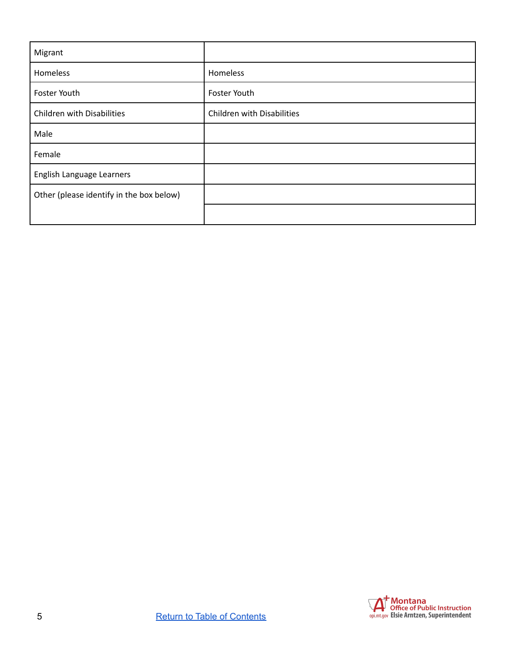| Migrant                                  |                            |
|------------------------------------------|----------------------------|
| Homeless                                 | Homeless                   |
| Foster Youth                             | Foster Youth               |
| <b>Children with Disabilities</b>        | Children with Disabilities |
| Male                                     |                            |
| Female                                   |                            |
| English Language Learners                |                            |
| Other (please identify in the box below) |                            |
|                                          |                            |

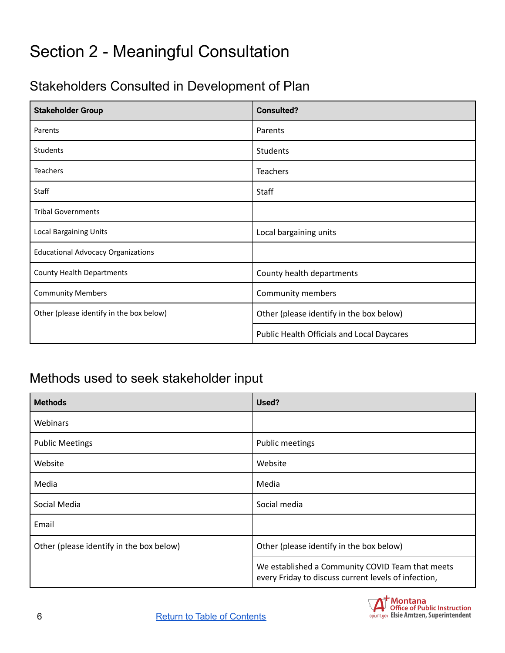### <span id="page-5-0"></span>Section 2 - Meaningful Consultation

### <span id="page-5-1"></span>Stakeholders Consulted in Development of Plan

| <b>Stakeholder Group</b>                      | <b>Consulted?</b>                          |  |
|-----------------------------------------------|--------------------------------------------|--|
| Parents                                       | Parents                                    |  |
| <b>Students</b>                               | <b>Students</b>                            |  |
| <b>Teachers</b>                               | <b>Teachers</b>                            |  |
| Staff                                         | <b>Staff</b>                               |  |
| <b>Tribal Governments</b>                     |                                            |  |
| <b>Local Bargaining Units</b>                 | Local bargaining units                     |  |
| <b>Educational Advocacy Organizations</b>     |                                            |  |
| <b>County Health Departments</b>              | County health departments                  |  |
| <b>Community Members</b><br>Community members |                                            |  |
| Other (please identify in the box below)      | Other (please identify in the box below)   |  |
|                                               | Public Health Officials and Local Daycares |  |

#### <span id="page-5-2"></span>Methods used to seek stakeholder input

| <b>Methods</b>                           | Used?                                                                                                    |  |
|------------------------------------------|----------------------------------------------------------------------------------------------------------|--|
| Webinars                                 |                                                                                                          |  |
| <b>Public Meetings</b>                   | Public meetings                                                                                          |  |
| Website                                  | Website                                                                                                  |  |
| Media                                    | Media                                                                                                    |  |
| Social Media                             | Social media                                                                                             |  |
| Email                                    |                                                                                                          |  |
| Other (please identify in the box below) | Other (please identify in the box below)                                                                 |  |
|                                          | We established a Community COVID Team that meets<br>every Friday to discuss current levels of infection, |  |

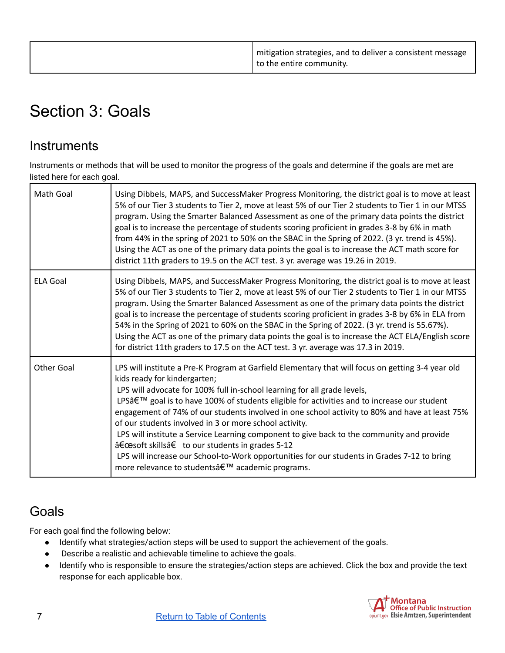| I mitigation strategies, and to deliver a consistent message<br>to the entire community. |
|------------------------------------------------------------------------------------------|
|------------------------------------------------------------------------------------------|

### <span id="page-6-0"></span>Section 3: Goals

#### <span id="page-6-1"></span>**Instruments**

Instruments or methods that will be used to monitor the progress of the goals and determine if the goals are met are listed here for each goal.

| Math Goal         | Using Dibbels, MAPS, and SuccessMaker Progress Monitoring, the district goal is to move at least<br>5% of our Tier 3 students to Tier 2, move at least 5% of our Tier 2 students to Tier 1 in our MTSS<br>program. Using the Smarter Balanced Assessment as one of the primary data points the district<br>goal is to increase the percentage of students scoring proficient in grades 3-8 by 6% in math<br>from 44% in the spring of 2021 to 50% on the SBAC in the Spring of 2022. (3 yr. trend is 45%).<br>Using the ACT as one of the primary data points the goal is to increase the ACT math score for<br>district 11th graders to 19.5 on the ACT test. 3 yr. average was 19.26 in 2019.                                                                     |
|-------------------|---------------------------------------------------------------------------------------------------------------------------------------------------------------------------------------------------------------------------------------------------------------------------------------------------------------------------------------------------------------------------------------------------------------------------------------------------------------------------------------------------------------------------------------------------------------------------------------------------------------------------------------------------------------------------------------------------------------------------------------------------------------------|
| <b>ELA Goal</b>   | Using Dibbels, MAPS, and SuccessMaker Progress Monitoring, the district goal is to move at least<br>5% of our Tier 3 students to Tier 2, move at least 5% of our Tier 2 students to Tier 1 in our MTSS<br>program. Using the Smarter Balanced Assessment as one of the primary data points the district<br>goal is to increase the percentage of students scoring proficient in grades 3-8 by 6% in ELA from<br>54% in the Spring of 2021 to 60% on the SBAC in the Spring of 2022. (3 yr. trend is 55.67%).<br>Using the ACT as one of the primary data points the goal is to increase the ACT ELA/English score<br>for district 11th graders to 17.5 on the ACT test. 3 yr. average was 17.3 in 2019.                                                             |
| <b>Other Goal</b> | LPS will institute a Pre-K Program at Garfield Elementary that will focus on getting 3-4 year old<br>kids ready for kindergarten;<br>LPS will advocate for 100% full in-school learning for all grade levels,<br>LPS' goal is to have 100% of students eligible for activities and to increase our student<br>engagement of 74% of our students involved in one school activity to 80% and have at least 75%<br>of our students involved in 3 or more school activity.<br>LPS will institute a Service Learning component to give back to the community and provide<br>"soft skills†to our students in grades 5-12<br>LPS will increase our School-to-Work opportunities for our students in Grades 7-12 to bring<br>more relevance to students' academic programs. |

#### <span id="page-6-2"></span>**Goals**

For each goal find the following below:

- Identify what strategies/action steps will be used to support the achievement of the goals.
- Describe a realistic and achievable timeline to achieve the goals.
- Identify who is responsible to ensure the strategies/action steps are achieved. Click the box and provide the text response for each applicable box.

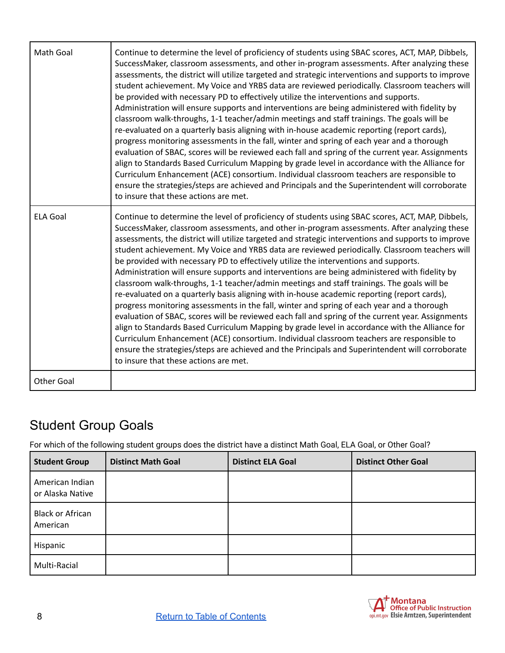| Math Goal         | Continue to determine the level of proficiency of students using SBAC scores, ACT, MAP, Dibbels,<br>SuccessMaker, classroom assessments, and other in-program assessments. After analyzing these<br>assessments, the district will utilize targeted and strategic interventions and supports to improve<br>student achievement. My Voice and YRBS data are reviewed periodically. Classroom teachers will<br>be provided with necessary PD to effectively utilize the interventions and supports.<br>Administration will ensure supports and interventions are being administered with fidelity by<br>classroom walk-throughs, 1-1 teacher/admin meetings and staff trainings. The goals will be<br>re-evaluated on a quarterly basis aligning with in-house academic reporting (report cards),<br>progress monitoring assessments in the fall, winter and spring of each year and a thorough<br>evaluation of SBAC, scores will be reviewed each fall and spring of the current year. Assignments<br>align to Standards Based Curriculum Mapping by grade level in accordance with the Alliance for<br>Curriculum Enhancement (ACE) consortium. Individual classroom teachers are responsible to<br>ensure the strategies/steps are achieved and Principals and the Superintendent will corroborate<br>to insure that these actions are met. |
|-------------------|-----------------------------------------------------------------------------------------------------------------------------------------------------------------------------------------------------------------------------------------------------------------------------------------------------------------------------------------------------------------------------------------------------------------------------------------------------------------------------------------------------------------------------------------------------------------------------------------------------------------------------------------------------------------------------------------------------------------------------------------------------------------------------------------------------------------------------------------------------------------------------------------------------------------------------------------------------------------------------------------------------------------------------------------------------------------------------------------------------------------------------------------------------------------------------------------------------------------------------------------------------------------------------------------------------------------------------------------------|
| <b>ELA Goal</b>   | Continue to determine the level of proficiency of students using SBAC scores, ACT, MAP, Dibbels,<br>SuccessMaker, classroom assessments, and other in-program assessments. After analyzing these<br>assessments, the district will utilize targeted and strategic interventions and supports to improve<br>student achievement. My Voice and YRBS data are reviewed periodically. Classroom teachers will<br>be provided with necessary PD to effectively utilize the interventions and supports.<br>Administration will ensure supports and interventions are being administered with fidelity by<br>classroom walk-throughs, 1-1 teacher/admin meetings and staff trainings. The goals will be<br>re-evaluated on a quarterly basis aligning with in-house academic reporting (report cards),<br>progress monitoring assessments in the fall, winter and spring of each year and a thorough<br>evaluation of SBAC, scores will be reviewed each fall and spring of the current year. Assignments<br>align to Standards Based Curriculum Mapping by grade level in accordance with the Alliance for<br>Curriculum Enhancement (ACE) consortium. Individual classroom teachers are responsible to<br>ensure the strategies/steps are achieved and the Principals and Superintendent will corroborate<br>to insure that these actions are met. |
| <b>Other Goal</b> |                                                                                                                                                                                                                                                                                                                                                                                                                                                                                                                                                                                                                                                                                                                                                                                                                                                                                                                                                                                                                                                                                                                                                                                                                                                                                                                                               |

### <span id="page-7-0"></span>Student Group Goals

For which of the following student groups does the district have a distinct Math Goal, ELA Goal, or Other Goal?

| <b>Student Group</b>                | <b>Distinct Math Goal</b> | <b>Distinct ELA Goal</b> | <b>Distinct Other Goal</b> |
|-------------------------------------|---------------------------|--------------------------|----------------------------|
| American Indian<br>or Alaska Native |                           |                          |                            |
| <b>Black or African</b><br>American |                           |                          |                            |
| Hispanic                            |                           |                          |                            |
| Multi-Racial                        |                           |                          |                            |

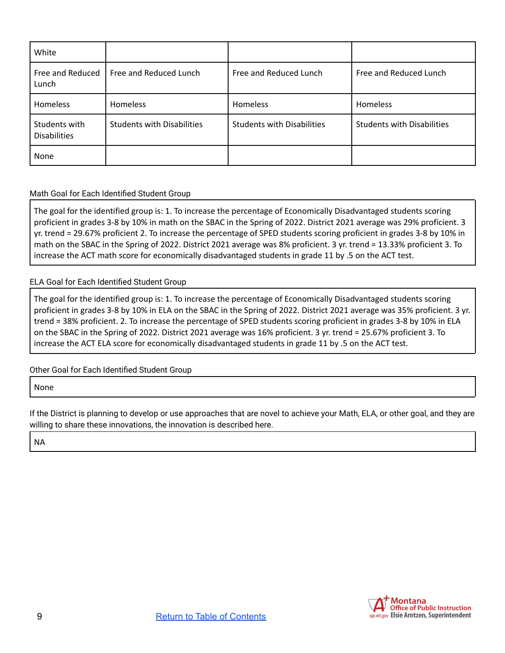| White                                |                                   |                                   |                                   |
|--------------------------------------|-----------------------------------|-----------------------------------|-----------------------------------|
| Free and Reduced<br>Lunch            | Free and Reduced Lunch            | Free and Reduced Lunch            | Free and Reduced Lunch            |
| Homeless                             | Homeless                          | Homeless                          | <b>Homeless</b>                   |
| Students with<br><b>Disabilities</b> | <b>Students with Disabilities</b> | <b>Students with Disabilities</b> | <b>Students with Disabilities</b> |
| None                                 |                                   |                                   |                                   |

#### Math Goal for Each Identified Student Group

The goal for the identified group is: 1. To increase the percentage of Economically Disadvantaged students scoring proficient in grades 3-8 by 10% in math on the SBAC in the Spring of 2022. District 2021 average was 29% proficient. 3 yr. trend = 29.67% proficient 2. To increase the percentage of SPED students scoring proficient in grades 3-8 by 10% in math on the SBAC in the Spring of 2022. District 2021 average was 8% proficient. 3 yr. trend = 13.33% proficient 3. To increase the ACT math score for economically disadvantaged students in grade 11 by .5 on the ACT test.

#### ELA Goal for Each Identified Student Group

The goal for the identified group is: 1. To increase the percentage of Economically Disadvantaged students scoring proficient in grades 3-8 by 10% in ELA on the SBAC in the Spring of 2022. District 2021 average was 35% proficient. 3 yr. trend = 38% proficient. 2. To increase the percentage of SPED students scoring proficient in grades 3-8 by 10% in ELA on the SBAC in the Spring of 2022. District 2021 average was 16% proficient. 3 yr. trend = 25.67% proficient 3. To increase the ACT ELA score for economically disadvantaged students in grade 11 by .5 on the ACT test.

#### Other Goal for Each Identified Student Group

None

If the District is planning to develop or use approaches that are novel to achieve your Math, ELA, or other goal, and they are willing to share these innovations, the innovation is described here.

NA

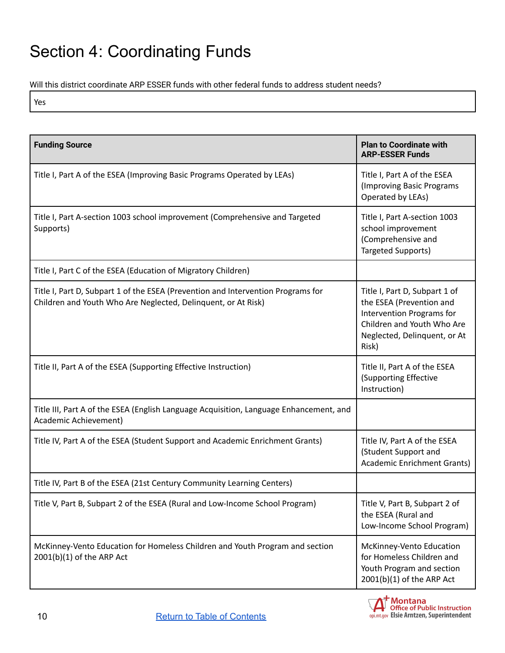## <span id="page-9-0"></span>Section 4: Coordinating Funds

Will this district coordinate ARP ESSER funds with other federal funds to address student needs?

Yes

| <b>Funding Source</b>                                                                                                                             | <b>Plan to Coordinate with</b><br><b>ARP-ESSER Funds</b>                                                                                                      |
|---------------------------------------------------------------------------------------------------------------------------------------------------|---------------------------------------------------------------------------------------------------------------------------------------------------------------|
| Title I, Part A of the ESEA (Improving Basic Programs Operated by LEAs)                                                                           | Title I, Part A of the ESEA<br>(Improving Basic Programs<br>Operated by LEAs)                                                                                 |
| Title I, Part A-section 1003 school improvement (Comprehensive and Targeted<br>Supports)                                                          | Title I, Part A-section 1003<br>school improvement<br>(Comprehensive and<br>Targeted Supports)                                                                |
| Title I, Part C of the ESEA (Education of Migratory Children)                                                                                     |                                                                                                                                                               |
| Title I, Part D, Subpart 1 of the ESEA (Prevention and Intervention Programs for<br>Children and Youth Who Are Neglected, Delinquent, or At Risk) | Title I, Part D, Subpart 1 of<br>the ESEA (Prevention and<br>Intervention Programs for<br>Children and Youth Who Are<br>Neglected, Delinquent, or At<br>Risk) |
| Title II, Part A of the ESEA (Supporting Effective Instruction)                                                                                   | Title II, Part A of the ESEA<br>(Supporting Effective<br>Instruction)                                                                                         |
| Title III, Part A of the ESEA (English Language Acquisition, Language Enhancement, and<br>Academic Achievement)                                   |                                                                                                                                                               |
| Title IV, Part A of the ESEA (Student Support and Academic Enrichment Grants)                                                                     | Title IV, Part A of the ESEA<br>(Student Support and<br><b>Academic Enrichment Grants)</b>                                                                    |
| Title IV, Part B of the ESEA (21st Century Community Learning Centers)                                                                            |                                                                                                                                                               |
| Title V, Part B, Subpart 2 of the ESEA (Rural and Low-Income School Program)                                                                      | Title V, Part B, Subpart 2 of<br>the ESEA (Rural and<br>Low-Income School Program)                                                                            |
| McKinney-Vento Education for Homeless Children and Youth Program and section<br>2001(b)(1) of the ARP Act                                         | McKinney-Vento Education<br>for Homeless Children and<br>Youth Program and section<br>$2001(b)(1)$ of the ARP Act                                             |

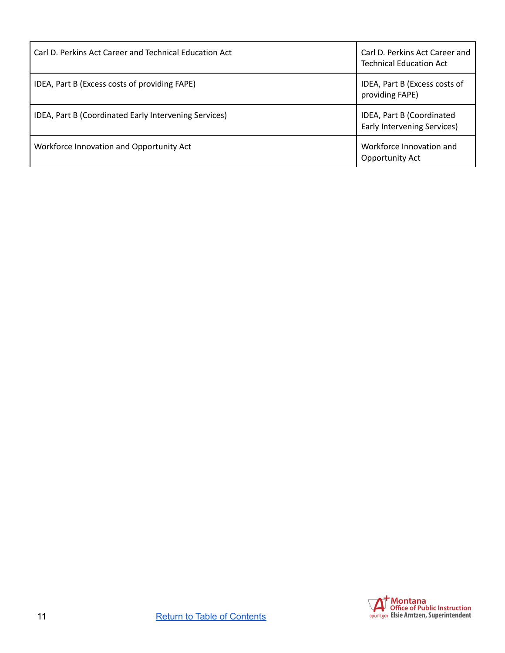| Carl D. Perkins Act Career and Technical Education Act | Carl D. Perkins Act Career and<br><b>Technical Education Act</b> |
|--------------------------------------------------------|------------------------------------------------------------------|
| IDEA, Part B (Excess costs of providing FAPE)          | IDEA, Part B (Excess costs of<br>providing FAPE)                 |
| IDEA, Part B (Coordinated Early Intervening Services)  | IDEA, Part B (Coordinated<br><b>Early Intervening Services)</b>  |
| Workforce Innovation and Opportunity Act               | Workforce Innovation and<br><b>Opportunity Act</b>               |

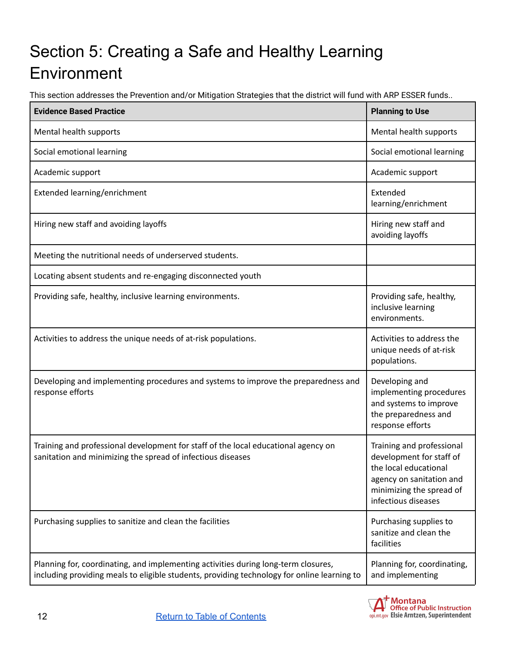## <span id="page-11-0"></span>Section 5: Creating a Safe and Healthy Learning Environment

This section addresses the Prevention and/or Mitigation Strategies that the district will fund with ARP ESSER funds..

| <b>Evidence Based Practice</b>                                                                                                                                                    | <b>Planning to Use</b>                                                                                                                                        |
|-----------------------------------------------------------------------------------------------------------------------------------------------------------------------------------|---------------------------------------------------------------------------------------------------------------------------------------------------------------|
| Mental health supports                                                                                                                                                            | Mental health supports                                                                                                                                        |
| Social emotional learning                                                                                                                                                         | Social emotional learning                                                                                                                                     |
| Academic support                                                                                                                                                                  | Academic support                                                                                                                                              |
| Extended learning/enrichment                                                                                                                                                      | Extended<br>learning/enrichment                                                                                                                               |
| Hiring new staff and avoiding layoffs                                                                                                                                             | Hiring new staff and<br>avoiding layoffs                                                                                                                      |
| Meeting the nutritional needs of underserved students.                                                                                                                            |                                                                                                                                                               |
| Locating absent students and re-engaging disconnected youth                                                                                                                       |                                                                                                                                                               |
| Providing safe, healthy, inclusive learning environments.                                                                                                                         | Providing safe, healthy,<br>inclusive learning<br>environments.                                                                                               |
| Activities to address the unique needs of at-risk populations.                                                                                                                    | Activities to address the<br>unique needs of at-risk<br>populations.                                                                                          |
| Developing and implementing procedures and systems to improve the preparedness and<br>response efforts                                                                            | Developing and<br>implementing procedures<br>and systems to improve<br>the preparedness and<br>response efforts                                               |
| Training and professional development for staff of the local educational agency on<br>sanitation and minimizing the spread of infectious diseases                                 | Training and professional<br>development for staff of<br>the local educational<br>agency on sanitation and<br>minimizing the spread of<br>infectious diseases |
| Purchasing supplies to sanitize and clean the facilities                                                                                                                          | Purchasing supplies to<br>sanitize and clean the<br>facilities                                                                                                |
| Planning for, coordinating, and implementing activities during long-term closures,<br>including providing meals to eligible students, providing technology for online learning to | Planning for, coordinating,<br>and implementing                                                                                                               |

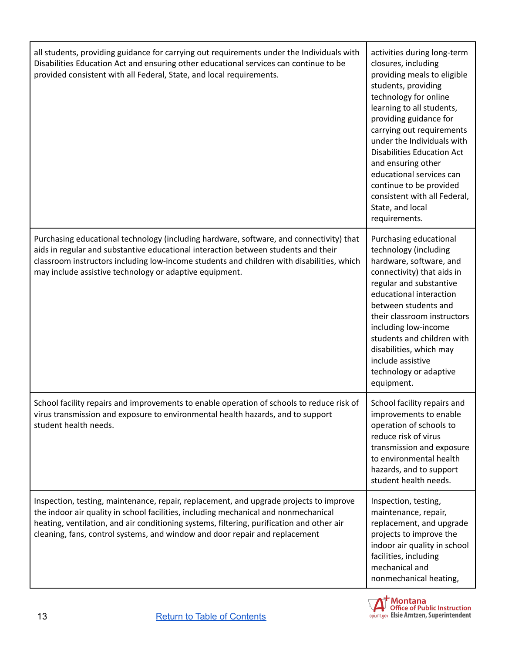| all students, providing guidance for carrying out requirements under the Individuals with<br>Disabilities Education Act and ensuring other educational services can continue to be<br>provided consistent with all Federal, State, and local requirements.                                                                                                | activities during long-term<br>closures, including<br>providing meals to eligible<br>students, providing<br>technology for online<br>learning to all students,<br>providing guidance for<br>carrying out requirements<br>under the Individuals with<br><b>Disabilities Education Act</b><br>and ensuring other<br>educational services can<br>continue to be provided<br>consistent with all Federal,<br>State, and local<br>requirements. |
|-----------------------------------------------------------------------------------------------------------------------------------------------------------------------------------------------------------------------------------------------------------------------------------------------------------------------------------------------------------|--------------------------------------------------------------------------------------------------------------------------------------------------------------------------------------------------------------------------------------------------------------------------------------------------------------------------------------------------------------------------------------------------------------------------------------------|
| Purchasing educational technology (including hardware, software, and connectivity) that<br>aids in regular and substantive educational interaction between students and their<br>classroom instructors including low-income students and children with disabilities, which<br>may include assistive technology or adaptive equipment.                     | Purchasing educational<br>technology (including<br>hardware, software, and<br>connectivity) that aids in<br>regular and substantive<br>educational interaction<br>between students and<br>their classroom instructors<br>including low-income<br>students and children with<br>disabilities, which may<br>include assistive<br>technology or adaptive<br>equipment.                                                                        |
| School facility repairs and improvements to enable operation of schools to reduce risk of<br>virus transmission and exposure to environmental health hazards, and to support<br>student health needs.                                                                                                                                                     | School facility repairs and<br>improvements to enable<br>operation of schools to<br>reduce risk of virus<br>transmission and exposure<br>to environmental health<br>hazards, and to support<br>student health needs.                                                                                                                                                                                                                       |
| Inspection, testing, maintenance, repair, replacement, and upgrade projects to improve<br>the indoor air quality in school facilities, including mechanical and nonmechanical<br>heating, ventilation, and air conditioning systems, filtering, purification and other air<br>cleaning, fans, control systems, and window and door repair and replacement | Inspection, testing,<br>maintenance, repair,<br>replacement, and upgrade<br>projects to improve the<br>indoor air quality in school<br>facilities, including<br>mechanical and<br>nonmechanical heating,                                                                                                                                                                                                                                   |

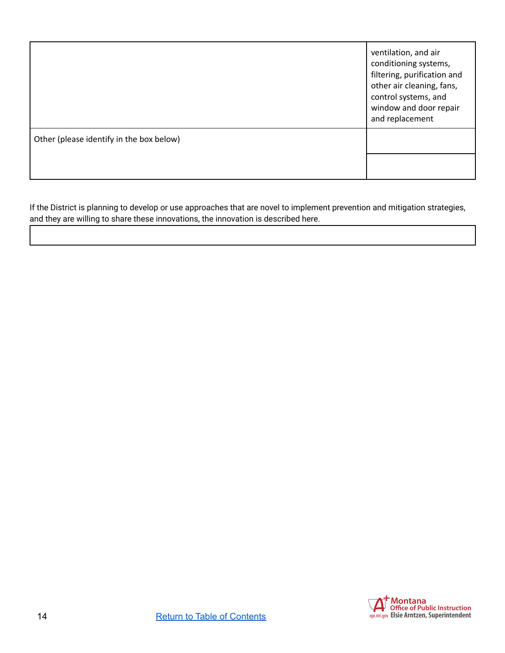|                                          | ventilation, and air<br>conditioning systems,<br>filtering, purification and<br>other air cleaning, fans,<br>control systems, and<br>window and door repair<br>and replacement |
|------------------------------------------|--------------------------------------------------------------------------------------------------------------------------------------------------------------------------------|
| Other (please identify in the box below) |                                                                                                                                                                                |
|                                          |                                                                                                                                                                                |

If the District is planning to develop or use approaches that are novel to implement prevention and mitigation strategies, and they are willing to share these innovations, the innovation is described here.

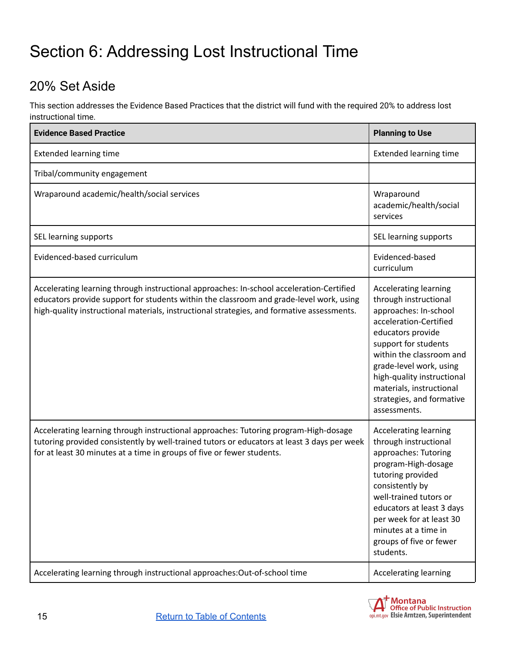## <span id="page-14-0"></span>Section 6: Addressing Lost Instructional Time

### <span id="page-14-1"></span>20% Set Aside

This section addresses the Evidence Based Practices that the district will fund with the required 20% to address lost instructional time.

| <b>Evidence Based Practice</b>                                                                                                                                                                                                                                                    | <b>Planning to Use</b>                                                                                                                                                                                                                                                                                              |
|-----------------------------------------------------------------------------------------------------------------------------------------------------------------------------------------------------------------------------------------------------------------------------------|---------------------------------------------------------------------------------------------------------------------------------------------------------------------------------------------------------------------------------------------------------------------------------------------------------------------|
| <b>Extended learning time</b>                                                                                                                                                                                                                                                     | <b>Extended learning time</b>                                                                                                                                                                                                                                                                                       |
| Tribal/community engagement                                                                                                                                                                                                                                                       |                                                                                                                                                                                                                                                                                                                     |
| Wraparound academic/health/social services                                                                                                                                                                                                                                        | Wraparound<br>academic/health/social<br>services                                                                                                                                                                                                                                                                    |
| SEL learning supports                                                                                                                                                                                                                                                             | SEL learning supports                                                                                                                                                                                                                                                                                               |
| Evidenced-based curriculum                                                                                                                                                                                                                                                        | Evidenced-based<br>curriculum                                                                                                                                                                                                                                                                                       |
| Accelerating learning through instructional approaches: In-school acceleration-Certified<br>educators provide support for students within the classroom and grade-level work, using<br>high-quality instructional materials, instructional strategies, and formative assessments. | <b>Accelerating learning</b><br>through instructional<br>approaches: In-school<br>acceleration-Certified<br>educators provide<br>support for students<br>within the classroom and<br>grade-level work, using<br>high-quality instructional<br>materials, instructional<br>strategies, and formative<br>assessments. |
| Accelerating learning through instructional approaches: Tutoring program-High-dosage<br>tutoring provided consistently by well-trained tutors or educators at least 3 days per week<br>for at least 30 minutes at a time in groups of five or fewer students.                     | <b>Accelerating learning</b><br>through instructional<br>approaches: Tutoring<br>program-High-dosage<br>tutoring provided<br>consistently by<br>well-trained tutors or<br>educators at least 3 days<br>per week for at least 30<br>minutes at a time in<br>groups of five or fewer<br>students.                     |
| Accelerating learning through instructional approaches:Out-of-school time                                                                                                                                                                                                         | <b>Accelerating learning</b>                                                                                                                                                                                                                                                                                        |

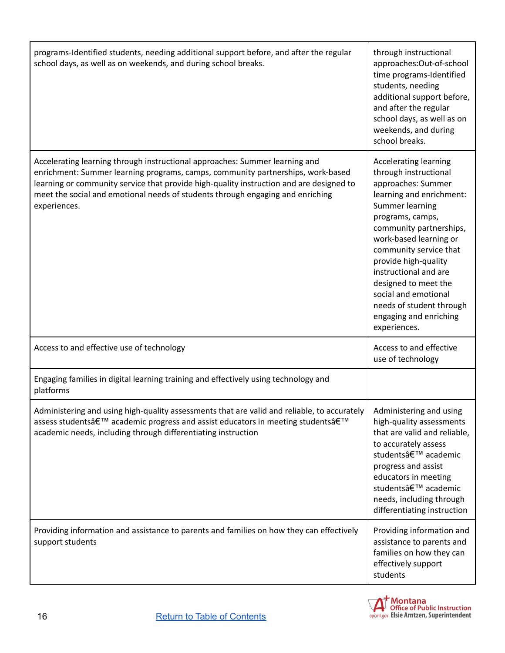| programs-Identified students, needing additional support before, and after the regular<br>school days, as well as on weekends, and during school breaks.                                                                                                                                                                                                    | through instructional<br>approaches:Out-of-school<br>time programs-Identified<br>students, needing<br>additional support before,<br>and after the regular<br>school days, as well as on<br>weekends, and during<br>school breaks.                                                                                                                                                                    |
|-------------------------------------------------------------------------------------------------------------------------------------------------------------------------------------------------------------------------------------------------------------------------------------------------------------------------------------------------------------|------------------------------------------------------------------------------------------------------------------------------------------------------------------------------------------------------------------------------------------------------------------------------------------------------------------------------------------------------------------------------------------------------|
| Accelerating learning through instructional approaches: Summer learning and<br>enrichment: Summer learning programs, camps, community partnerships, work-based<br>learning or community service that provide high-quality instruction and are designed to<br>meet the social and emotional needs of students through engaging and enriching<br>experiences. | <b>Accelerating learning</b><br>through instructional<br>approaches: Summer<br>learning and enrichment:<br>Summer learning<br>programs, camps,<br>community partnerships,<br>work-based learning or<br>community service that<br>provide high-quality<br>instructional and are<br>designed to meet the<br>social and emotional<br>needs of student through<br>engaging and enriching<br>experiences. |
| Access to and effective use of technology                                                                                                                                                                                                                                                                                                                   | Access to and effective<br>use of technology                                                                                                                                                                                                                                                                                                                                                         |
| Engaging families in digital learning training and effectively using technology and<br>platforms                                                                                                                                                                                                                                                            |                                                                                                                                                                                                                                                                                                                                                                                                      |
| Administering and using high-quality assessments that are valid and reliable, to accurately  <br>assess students' academic progress and assist educators in meeting students'<br>academic needs, including through differentiating instruction                                                                                                              | Administering and using<br>high-quality assessments<br>that are valid and reliable,<br>to accurately assess<br>students' academic<br>progress and assist<br>educators in meeting<br>students' academic<br>needs, including through<br>differentiating instruction                                                                                                                                    |
| Providing information and assistance to parents and families on how they can effectively<br>support students                                                                                                                                                                                                                                                | Providing information and<br>assistance to parents and<br>families on how they can<br>effectively support<br>students                                                                                                                                                                                                                                                                                |

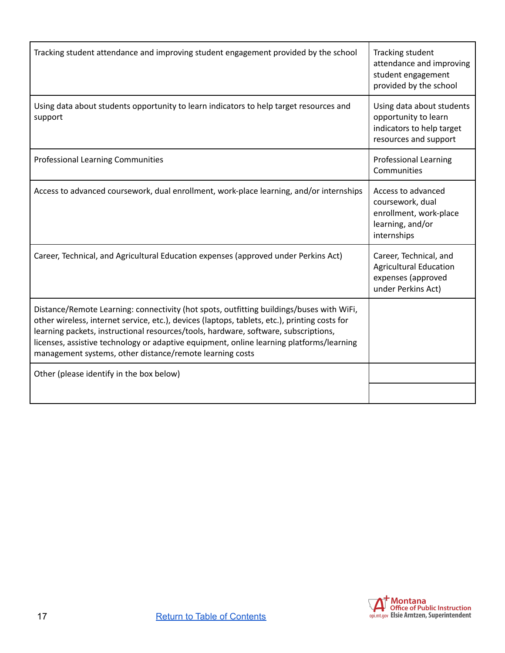| Tracking student attendance and improving student engagement provided by the school                                                                                                                                                                                                                                                                                                                                                      | Tracking student<br>attendance and improving<br>student engagement<br>provided by the school            |
|------------------------------------------------------------------------------------------------------------------------------------------------------------------------------------------------------------------------------------------------------------------------------------------------------------------------------------------------------------------------------------------------------------------------------------------|---------------------------------------------------------------------------------------------------------|
| Using data about students opportunity to learn indicators to help target resources and<br>support                                                                                                                                                                                                                                                                                                                                        | Using data about students<br>opportunity to learn<br>indicators to help target<br>resources and support |
| <b>Professional Learning Communities</b>                                                                                                                                                                                                                                                                                                                                                                                                 | <b>Professional Learning</b><br>Communities                                                             |
| Access to advanced coursework, dual enrollment, work-place learning, and/or internships                                                                                                                                                                                                                                                                                                                                                  | Access to advanced<br>coursework, dual<br>enrollment, work-place<br>learning, and/or<br>internships     |
| Career, Technical, and Agricultural Education expenses (approved under Perkins Act)                                                                                                                                                                                                                                                                                                                                                      | Career, Technical, and<br><b>Agricultural Education</b><br>expenses (approved<br>under Perkins Act)     |
| Distance/Remote Learning: connectivity (hot spots, outfitting buildings/buses with WiFi,<br>other wireless, internet service, etc.), devices (laptops, tablets, etc.), printing costs for<br>learning packets, instructional resources/tools, hardware, software, subscriptions,<br>licenses, assistive technology or adaptive equipment, online learning platforms/learning<br>management systems, other distance/remote learning costs |                                                                                                         |
| Other (please identify in the box below)                                                                                                                                                                                                                                                                                                                                                                                                 |                                                                                                         |

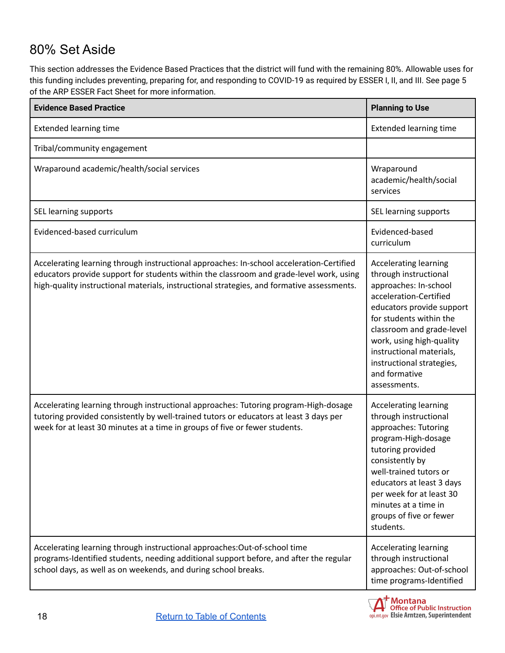#### <span id="page-17-0"></span>80% Set Aside

This section addresses the Evidence Based Practices that the district will fund with the remaining 80%. Allowable uses for this funding includes preventing, preparing for, and responding to COVID-19 as required by ESSER I, II, and III. See page 5 of the ARP ESSER Fact Sheet for more information.

| <b>Evidence Based Practice</b>                                                                                                                                                                                                                                                    | <b>Planning to Use</b>                                                                                                                                                                                                                                                                                              |
|-----------------------------------------------------------------------------------------------------------------------------------------------------------------------------------------------------------------------------------------------------------------------------------|---------------------------------------------------------------------------------------------------------------------------------------------------------------------------------------------------------------------------------------------------------------------------------------------------------------------|
| <b>Extended learning time</b>                                                                                                                                                                                                                                                     | <b>Extended learning time</b>                                                                                                                                                                                                                                                                                       |
| Tribal/community engagement                                                                                                                                                                                                                                                       |                                                                                                                                                                                                                                                                                                                     |
| Wraparound academic/health/social services                                                                                                                                                                                                                                        | Wraparound<br>academic/health/social<br>services                                                                                                                                                                                                                                                                    |
| SEL learning supports                                                                                                                                                                                                                                                             | SEL learning supports                                                                                                                                                                                                                                                                                               |
| Evidenced-based curriculum                                                                                                                                                                                                                                                        | Evidenced-based<br>curriculum                                                                                                                                                                                                                                                                                       |
| Accelerating learning through instructional approaches: In-school acceleration-Certified<br>educators provide support for students within the classroom and grade-level work, using<br>high-quality instructional materials, instructional strategies, and formative assessments. | <b>Accelerating learning</b><br>through instructional<br>approaches: In-school<br>acceleration-Certified<br>educators provide support<br>for students within the<br>classroom and grade-level<br>work, using high-quality<br>instructional materials,<br>instructional strategies,<br>and formative<br>assessments. |
| Accelerating learning through instructional approaches: Tutoring program-High-dosage<br>tutoring provided consistently by well-trained tutors or educators at least 3 days per<br>week for at least 30 minutes at a time in groups of five or fewer students.                     | <b>Accelerating learning</b><br>through instructional<br>approaches: Tutoring<br>program-High-dosage<br>tutoring provided<br>consistently by<br>well-trained tutors or<br>educators at least 3 days<br>per week for at least 30<br>minutes at a time in<br>groups of five or fewer<br>students.                     |
| Accelerating learning through instructional approaches: Out-of-school time<br>programs-Identified students, needing additional support before, and after the regular<br>school days, as well as on weekends, and during school breaks.                                            | <b>Accelerating learning</b><br>through instructional<br>approaches: Out-of-school<br>time programs-Identified                                                                                                                                                                                                      |

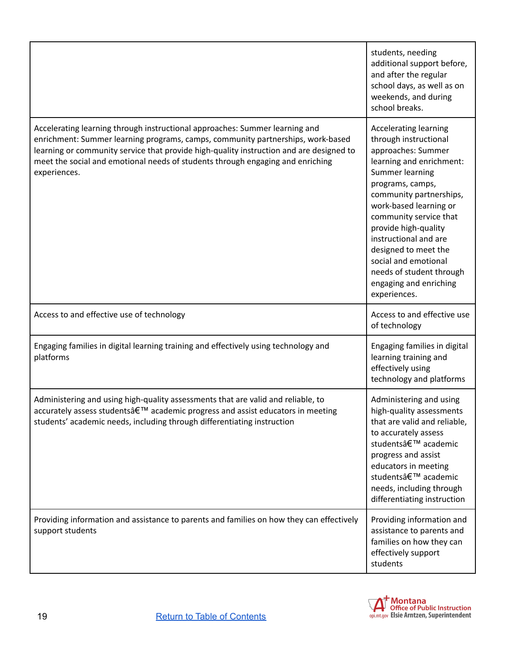|                                                                                                                                                                                                                                                                                                                                                             | students, needing<br>additional support before,<br>and after the regular<br>school days, as well as on<br>weekends, and during<br>school breaks.                                                                                                                                                                                                                                                     |
|-------------------------------------------------------------------------------------------------------------------------------------------------------------------------------------------------------------------------------------------------------------------------------------------------------------------------------------------------------------|------------------------------------------------------------------------------------------------------------------------------------------------------------------------------------------------------------------------------------------------------------------------------------------------------------------------------------------------------------------------------------------------------|
| Accelerating learning through instructional approaches: Summer learning and<br>enrichment: Summer learning programs, camps, community partnerships, work-based<br>learning or community service that provide high-quality instruction and are designed to<br>meet the social and emotional needs of students through engaging and enriching<br>experiences. | <b>Accelerating learning</b><br>through instructional<br>approaches: Summer<br>learning and enrichment:<br>Summer learning<br>programs, camps,<br>community partnerships,<br>work-based learning or<br>community service that<br>provide high-quality<br>instructional and are<br>designed to meet the<br>social and emotional<br>needs of student through<br>engaging and enriching<br>experiences. |
| Access to and effective use of technology                                                                                                                                                                                                                                                                                                                   | Access to and effective use<br>of technology                                                                                                                                                                                                                                                                                                                                                         |
| Engaging families in digital learning training and effectively using technology and<br>platforms                                                                                                                                                                                                                                                            | Engaging families in digital<br>learning training and<br>effectively using<br>technology and platforms                                                                                                                                                                                                                                                                                               |
| Administering and using high-quality assessments that are valid and reliable, to<br>accurately assess students' academic progress and assist educators in meeting<br>students' academic needs, including through differentiating instruction                                                                                                                | Administering and using<br>high-quality assessments<br>that are valid and reliable,<br>to accurately assess<br>students' academic<br>progress and assist<br>educators in meeting<br>students' academic<br>needs, including through<br>differentiating instruction                                                                                                                                    |
| Providing information and assistance to parents and families on how they can effectively<br>support students                                                                                                                                                                                                                                                | Providing information and<br>assistance to parents and<br>families on how they can<br>effectively support<br>students                                                                                                                                                                                                                                                                                |

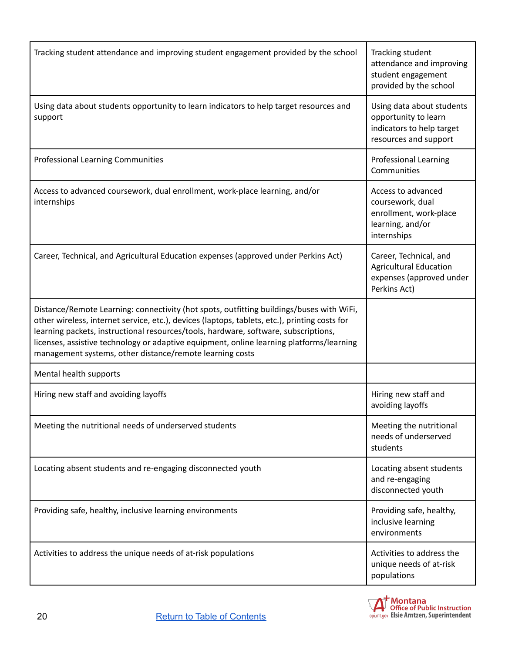| Tracking student attendance and improving student engagement provided by the school                                                                                                                                                                                                                                                                                                                                                      | Tracking student<br>attendance and improving<br>student engagement<br>provided by the school            |
|------------------------------------------------------------------------------------------------------------------------------------------------------------------------------------------------------------------------------------------------------------------------------------------------------------------------------------------------------------------------------------------------------------------------------------------|---------------------------------------------------------------------------------------------------------|
| Using data about students opportunity to learn indicators to help target resources and<br>support                                                                                                                                                                                                                                                                                                                                        | Using data about students<br>opportunity to learn<br>indicators to help target<br>resources and support |
| <b>Professional Learning Communities</b>                                                                                                                                                                                                                                                                                                                                                                                                 | <b>Professional Learning</b><br>Communities                                                             |
| Access to advanced coursework, dual enrollment, work-place learning, and/or<br>internships                                                                                                                                                                                                                                                                                                                                               | Access to advanced<br>coursework, dual<br>enrollment, work-place<br>learning, and/or<br>internships     |
| Career, Technical, and Agricultural Education expenses (approved under Perkins Act)                                                                                                                                                                                                                                                                                                                                                      | Career, Technical, and<br><b>Agricultural Education</b><br>expenses (approved under<br>Perkins Act)     |
| Distance/Remote Learning: connectivity (hot spots, outfitting buildings/buses with WiFi,<br>other wireless, internet service, etc.), devices (laptops, tablets, etc.), printing costs for<br>learning packets, instructional resources/tools, hardware, software, subscriptions,<br>licenses, assistive technology or adaptive equipment, online learning platforms/learning<br>management systems, other distance/remote learning costs |                                                                                                         |
| Mental health supports                                                                                                                                                                                                                                                                                                                                                                                                                   |                                                                                                         |
| Hiring new staff and avoiding layoffs                                                                                                                                                                                                                                                                                                                                                                                                    | Hiring new staff and<br>avoiding layoffs                                                                |
| Meeting the nutritional needs of underserved students                                                                                                                                                                                                                                                                                                                                                                                    | Meeting the nutritional<br>needs of underserved<br>students                                             |
| Locating absent students and re-engaging disconnected youth                                                                                                                                                                                                                                                                                                                                                                              | Locating absent students<br>and re-engaging<br>disconnected youth                                       |
| Providing safe, healthy, inclusive learning environments                                                                                                                                                                                                                                                                                                                                                                                 | Providing safe, healthy,<br>inclusive learning<br>environments                                          |
| Activities to address the unique needs of at-risk populations                                                                                                                                                                                                                                                                                                                                                                            | Activities to address the<br>unique needs of at-risk<br>populations                                     |

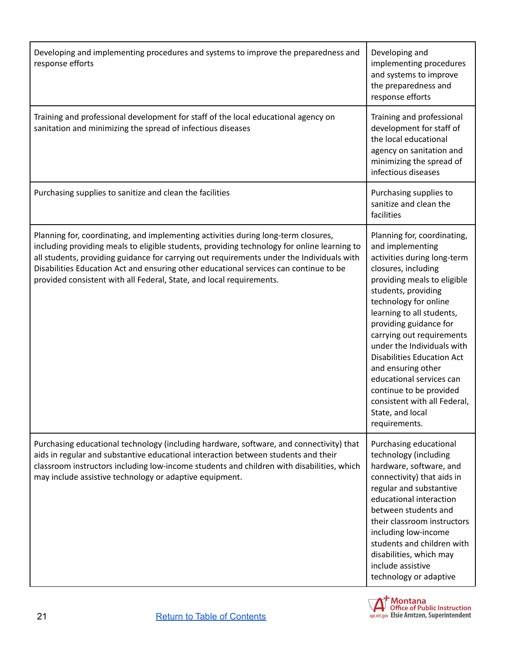| Developing and implementing procedures and systems to improve the preparedness and<br>response efforts                                                                                                                                                                                                                                                                                                                                          | Developing and<br>implementing procedures<br>and systems to improve<br>the preparedness and<br>response efforts                                                                                                                                                                                                                                                                                                                                                                               |
|-------------------------------------------------------------------------------------------------------------------------------------------------------------------------------------------------------------------------------------------------------------------------------------------------------------------------------------------------------------------------------------------------------------------------------------------------|-----------------------------------------------------------------------------------------------------------------------------------------------------------------------------------------------------------------------------------------------------------------------------------------------------------------------------------------------------------------------------------------------------------------------------------------------------------------------------------------------|
| Training and professional development for staff of the local educational agency on<br>sanitation and minimizing the spread of infectious diseases                                                                                                                                                                                                                                                                                               | Training and professional<br>development for staff of<br>the local educational<br>agency on sanitation and<br>minimizing the spread of<br>infectious diseases                                                                                                                                                                                                                                                                                                                                 |
| Purchasing supplies to sanitize and clean the facilities                                                                                                                                                                                                                                                                                                                                                                                        | Purchasing supplies to<br>sanitize and clean the<br>facilities                                                                                                                                                                                                                                                                                                                                                                                                                                |
| Planning for, coordinating, and implementing activities during long-term closures,<br>including providing meals to eligible students, providing technology for online learning to<br>all students, providing guidance for carrying out requirements under the Individuals with<br>Disabilities Education Act and ensuring other educational services can continue to be<br>provided consistent with all Federal, State, and local requirements. | Planning for, coordinating,<br>and implementing<br>activities during long-term<br>closures, including<br>providing meals to eligible<br>students, providing<br>technology for online<br>learning to all students,<br>providing guidance for<br>carrying out requirements<br>under the Individuals with<br><b>Disabilities Education Act</b><br>and ensuring other<br>educational services can<br>continue to be provided<br>consistent with all Federal,<br>State, and local<br>requirements. |
| Purchasing educational technology (including hardware, software, and connectivity) that<br>aids in regular and substantive educational interaction between students and their<br>classroom instructors including low-income students and children with disabilities, which<br>may include assistive technology or adaptive equipment.                                                                                                           | Purchasing educational<br>technology (including<br>hardware, software, and<br>connectivity) that aids in<br>regular and substantive<br>educational interaction<br>between students and<br>their classroom instructors<br>including low-income<br>students and children with<br>disabilities, which may<br>include assistive<br>technology or adaptive                                                                                                                                         |

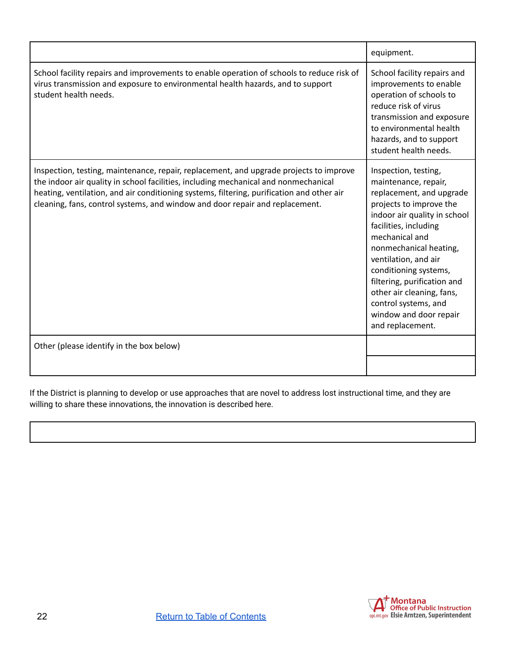|                                                                                                                                                                                                                                                                                                                                                            | equipment.                                                                                                                                                                                                                                                                                                                                                                                  |
|------------------------------------------------------------------------------------------------------------------------------------------------------------------------------------------------------------------------------------------------------------------------------------------------------------------------------------------------------------|---------------------------------------------------------------------------------------------------------------------------------------------------------------------------------------------------------------------------------------------------------------------------------------------------------------------------------------------------------------------------------------------|
| School facility repairs and improvements to enable operation of schools to reduce risk of<br>virus transmission and exposure to environmental health hazards, and to support<br>student health needs.                                                                                                                                                      | School facility repairs and<br>improvements to enable<br>operation of schools to<br>reduce risk of virus<br>transmission and exposure<br>to environmental health<br>hazards, and to support<br>student health needs.                                                                                                                                                                        |
| Inspection, testing, maintenance, repair, replacement, and upgrade projects to improve<br>the indoor air quality in school facilities, including mechanical and nonmechanical<br>heating, ventilation, and air conditioning systems, filtering, purification and other air<br>cleaning, fans, control systems, and window and door repair and replacement. | Inspection, testing,<br>maintenance, repair,<br>replacement, and upgrade<br>projects to improve the<br>indoor air quality in school<br>facilities, including<br>mechanical and<br>nonmechanical heating,<br>ventilation, and air<br>conditioning systems,<br>filtering, purification and<br>other air cleaning, fans,<br>control systems, and<br>window and door repair<br>and replacement. |
| Other (please identify in the box below)                                                                                                                                                                                                                                                                                                                   |                                                                                                                                                                                                                                                                                                                                                                                             |
|                                                                                                                                                                                                                                                                                                                                                            |                                                                                                                                                                                                                                                                                                                                                                                             |

If the District is planning to develop or use approaches that are novel to address lost instructional time, and they are willing to share these innovations, the innovation is described here.

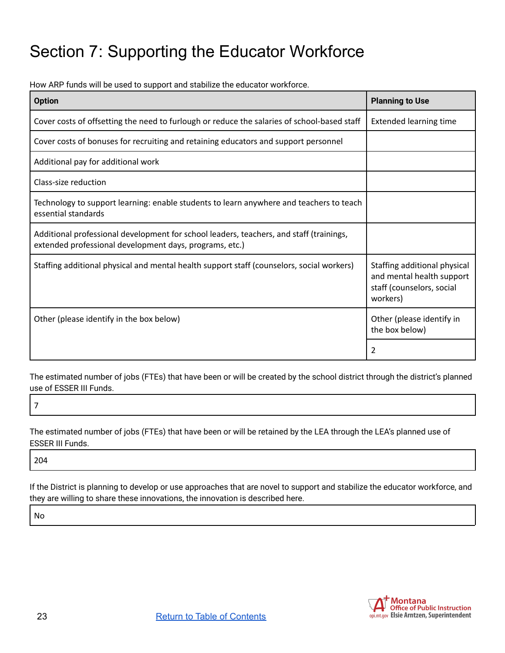### <span id="page-22-0"></span>Section 7: Supporting the Educator Workforce

How ARP funds will be used to support and stabilize the educator workforce.

| <b>Option</b>                                                                                                                                      | <b>Planning to Use</b>                                                                             |
|----------------------------------------------------------------------------------------------------------------------------------------------------|----------------------------------------------------------------------------------------------------|
| Cover costs of offsetting the need to furlough or reduce the salaries of school-based staff                                                        | <b>Extended learning time</b>                                                                      |
| Cover costs of bonuses for recruiting and retaining educators and support personnel                                                                |                                                                                                    |
| Additional pay for additional work                                                                                                                 |                                                                                                    |
| Class-size reduction                                                                                                                               |                                                                                                    |
| Technology to support learning: enable students to learn anywhere and teachers to teach<br>essential standards                                     |                                                                                                    |
| Additional professional development for school leaders, teachers, and staff (trainings,<br>extended professional development days, programs, etc.) |                                                                                                    |
| Staffing additional physical and mental health support staff (counselors, social workers)                                                          | Staffing additional physical<br>and mental health support<br>staff (counselors, social<br>workers) |
| Other (please identify in the box below)                                                                                                           | Other (please identify in<br>the box below)                                                        |
|                                                                                                                                                    | 2                                                                                                  |

The estimated number of jobs (FTEs) that have been or will be created by the school district through the district's planned use of ESSER III Funds.

7

The estimated number of jobs (FTEs) that have been or will be retained by the LEA through the LEA's planned use of ESSER III Funds.

204

If the District is planning to develop or use approaches that are novel to support and stabilize the educator workforce, and they are willing to share these innovations, the innovation is described here.

No

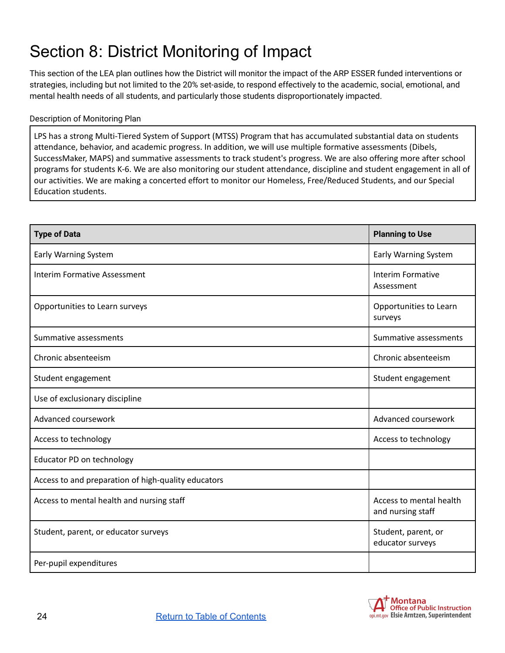## <span id="page-23-0"></span>Section 8: District Monitoring of Impact

This section of the LEA plan outlines how the District will monitor the impact of the ARP ESSER funded interventions or strategies, including but not limited to the 20% set-aside, to respond effectively to the academic, social, emotional, and mental health needs of all students, and particularly those students disproportionately impacted.

#### Description of Monitoring Plan

LPS has a strong Multi-Tiered System of Support (MTSS) Program that has accumulated substantial data on students attendance, behavior, and academic progress. In addition, we will use multiple formative assessments (Dibels, SuccessMaker, MAPS) and summative assessments to track student's progress. We are also offering more after school programs for students K-6. We are also monitoring our student attendance, discipline and student engagement in all of our activities. We are making a concerted effort to monitor our Homeless, Free/Reduced Students, and our Special Education students.

| <b>Type of Data</b>                                 | <b>Planning to Use</b>                       |
|-----------------------------------------------------|----------------------------------------------|
| Early Warning System                                | Early Warning System                         |
| <b>Interim Formative Assessment</b>                 | Interim Formative<br>Assessment              |
| Opportunities to Learn surveys                      | Opportunities to Learn<br>surveys            |
| Summative assessments                               | Summative assessments                        |
| Chronic absenteeism                                 | Chronic absenteeism                          |
| Student engagement                                  | Student engagement                           |
| Use of exclusionary discipline                      |                                              |
| Advanced coursework                                 | Advanced coursework                          |
| Access to technology                                | Access to technology                         |
| Educator PD on technology                           |                                              |
| Access to and preparation of high-quality educators |                                              |
| Access to mental health and nursing staff           | Access to mental health<br>and nursing staff |
| Student, parent, or educator surveys                | Student, parent, or<br>educator surveys      |
| Per-pupil expenditures                              |                                              |